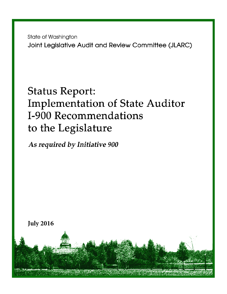State of Washington

Joint Legislative Audit and Review Committee (JLARC)

# **Status Report: Implementation of State Auditor** I-900 Recommendations to the Legislature

As required by Initiative 900

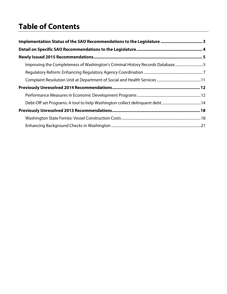# **Table of Contents**

| Implementation Status of the SAO Recommendations to the Legislature  3        |  |
|-------------------------------------------------------------------------------|--|
|                                                                               |  |
|                                                                               |  |
| Improving the Completeness of Washington's Criminal History Records Database5 |  |
|                                                                               |  |
|                                                                               |  |
|                                                                               |  |
|                                                                               |  |
|                                                                               |  |
|                                                                               |  |
|                                                                               |  |
|                                                                               |  |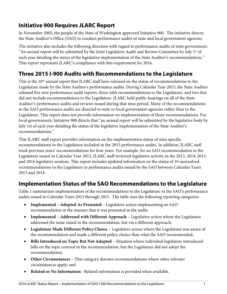# **Initiative 900 Requires JLARC Report**

In November 2005, the people of the State of Washington approved Initiative 900. The initiative directs the State Auditor's Office (SAO) to conduct performance audits of state and local government agencies.

The initiative also includes the following direction with regard to performance audits of state government: "An annual report will be submitted by the Joint Legislative Audit and Review Committee by July  $1<sup>st</sup>$  of each year detailing the status of the legislative implementation of the State Auditor's recommendations." This report represents JLARC's compliance with this requirement for 2016.

# **Three 2015 I-900 Audits with Recommendations to the Legislature**

This is the 10<sup>th</sup> annual report that JLARC staff have released on the status of recommendations to the Legislature made by the State Auditor's performance audits. During Calendar Year 2015, the State Auditor released five new performance audit reports: three with recommendations to the Legislature, and two that did not include recommendations to the Legislature. JLARC held public hearings on all of the State Auditor's performance audits and reviews issued during that time period. Many of the recommendations in the SAO performance audits are directed to state or local government agencies rather than to the Legislature. This report does not provide information on implementation of those recommendations. For local governments, Initiative 900 directs that "an annual report will be submitted by the legislative body by July 1st of each year detailing the status of the legislative implementation of the State Auditor's recommendations."

This JLARC staff report provides information on the implementation status of nine specific recommendations to the Legislature included in the 2015 performance audits. In addition, JLARC staff track previous years' recommendations for four years. For example, for an SAO recommendation to the Legislature issued in Calendar Year 2012, JLARC staff reviewed legislative activity in the 2013, 2014, 2015, and 2016 legislative sessions. This report includes updated information on the status of 10 unresolved recommendations to the Legislature in performance audits issued by the SAO between Calendar Years 2013 and 2014.

## **Implementation Status of the SAO Recommendations to the Legislature**

Table 1 summarizes implementation of the recommendations to the Legislature in the SAO's performance audits issued in Calendar Years 2012 through 2015. The table uses the following reporting categories:

- **Implemented – Adopted As Presented** Legislative action implementing an SAO recommendation in the manner that it was presented in the audit;
- **Implemented – Addressed with Different Approach** Legislative action where the Legislature addressed the issue raised in the recommendation, but via a different approach;
- **Legislature Made Different Policy Choice** Legislative action where the Legislature was aware of the recommendation and made a different policy choice than what the SAO recommended;
- **Bills Introduced on Topic But Not Adopted** Situation where individual legislators introduced bills on the topic covered in the recommendation, but the Legislature did not adopt the recommendation;
- **Other Circumstances** This category denotes recommendations where other relevant circumstances apply; and
- **Related or No Information** –Related information is provided when available.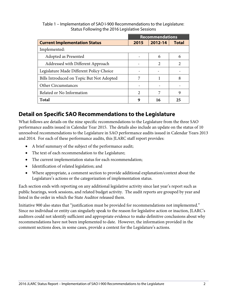Table 1 – Implementation of SAO I-900 Recommendations to the Legislature: Status Following the 2016 Legislative Sessions

|                                           |      | <b>Recommendations</b> |              |
|-------------------------------------------|------|------------------------|--------------|
| <b>Current Implementation Status</b>      | 2015 | 2012-14                | <b>Total</b> |
| Implemented:                              |      |                        |              |
| Adopted as Presented                      |      | 6                      | 6            |
| Addressed with Different Approach         |      | 2                      |              |
| Legislature Made Different Policy Choice  |      |                        |              |
| Bills Introduced on Topic But Not Adopted | 7    |                        | 8            |
| Other Circumstances                       |      |                        |              |
| Related or No Information                 | 2    | 7                      | 9            |
| <b>Total</b>                              | 9    | 16                     | 25           |

## **Detail on Specific SAO Recommendations to the Legislature**

What follows are details on the nine specific recommendations to the Legislature from the three SAO performance audits issued in Calendar Year 2015. The details also include an update on the status of 10 unresolved recommendations to the Legislature in SAO performance audits issued in Calendar Years 2013 and 2014. For each of these performance audits, this JLARC staff report provides:

- A brief summary of the subject of the performance audit;
- The text of each recommendation to the Legislature;
- The current implementation status for each recommendation;
- Identification of related legislation; and
- Where appropriate, a comment section to provide additional explanation/context about the Legislature's actions or the categorization of implementation status.

Each section ends with reporting on any additional legislative activity since last year's report such as public hearings, work sessions, and related budget activity. The audit reports are grouped by year and listed in the order in which the State Auditor released them.

Initiative 900 also states that "justification must be provided for recommendations not implemented." Since no individual or entity can singularly speak to the reason for legislative action or inaction, JLARC's auditors could not identify sufficient and appropriate evidence to make definitive conclusions about why recommendations have not been implemented to date. However, the information provided in the comment sections does, in some cases, provide a context for the Legislature's actions.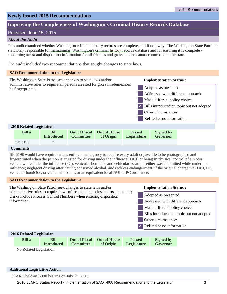### **Newly Issued 2015 Recommendations**

### **Improving the Completeness of Washington's Criminal History Records Database**

### Released June 15, 2015

### *About the Audit*

This audit examined whether Washington criminal history records are complete, and if not, why. The Washington State Patrol is statutorily responsible for maintaining Washington's criminal hsitory records database and for ensuring it is complete containing arrest and disposition information for all felonies and gross misdemeanors committed in the state.

The audit included two recommendations that sought changes to state laws.



### **Comments**

SB 6198 would have required a law enforcement agency to require every adult or juvenile to be photographed and fingerprinted when the person is arrested for driving under the influence (DUI) or being in physical control of a motor vehicle while under the influence (PC); vehicular homicide and vehicular assault if either was committed while under the influence; negligent driving after having consumed alcohol, and reckless endangerment, if the original charge was DUI, PC, vehicular homicide, or vehicular assault; or an equivalent local DUI or PC ordinance.

#### **SAO Recommendation to the Legislature**

The Washington State Patrol seek changes to state laws and/or administrative rules to require law enforcement agencies, courts and county clerks include Process Control Numbers when entering disposition information.

#### **Implementation Status :**

- Adopted as presented
- Addressed with different approach
- Made different policy choice
- Bills introduced on topic but not adopted
- Other circumstances
- Related or no information  $\overline{\blacktriangledown}$

| <b>2016 Related Legislation</b> |             |                  |                                   |                    |                  |  |  |  |  |
|---------------------------------|-------------|------------------|-----------------------------------|--------------------|------------------|--|--|--|--|
| Bill $#$                        | <b>Bill</b> |                  | <b>Out of Fiscal Out of House</b> | <b>Passed</b>      | <b>Signed by</b> |  |  |  |  |
|                                 | Introduced  | <b>Committee</b> | of Origin                         | <b>Legislature</b> | <b>Governor</b>  |  |  |  |  |
| No Related Legislation          |             |                  |                                   |                    |                  |  |  |  |  |

#### **Additional Legislative Action**

JLARC held an I-900 hearing on July 29, 2015.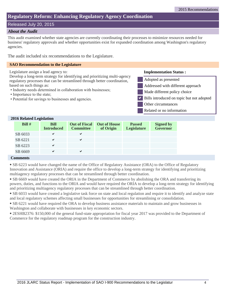### Released July 20, 2015

### *About the Audit*

This audit examined whether state agencies are currently coordinating their processes to minimize resources needed for business' regulatory approvals and whether opportunities exist for expanded coordination among Washington's regulatory agencies.

The audit included six recommendations to the Legislature.

#### **SAO Recommendation to the Legislature**

Legislature assign a lead agency to:

Develop a long-term strategy for identifying and prioritizing multi-agency regulatory processes that can be streamlined through better coordination, based on such things as:

- Industry needs determined in collaboration with businesses;
- Importance to the state;
- Potential for savings to businesses and agencies.

#### **Implementation Status :**

- Adopted as presented
- Addressed with different approach
- Made different policy choice
- Bills introduced on topic but not adopted a
	- Other circumstances
		- Related or no information

### **2016 Related Legislation**

| Bill#   | <b>Bill</b><br><b>Introduced</b> | <b>Out of Fiscal</b><br><b>Committee</b> | <b>Out of House</b><br>of Origin | <b>Passed</b><br><b>Legislature</b> | <b>Signed by</b><br>Governor |
|---------|----------------------------------|------------------------------------------|----------------------------------|-------------------------------------|------------------------------|
| SB 6033 |                                  | ✔                                        |                                  |                                     |                              |
| SB 6221 |                                  | ✔                                        |                                  |                                     |                              |
| SB 6223 |                                  |                                          |                                  |                                     |                              |
| SB 6669 |                                  | ✔                                        |                                  |                                     |                              |

#### **Comments**

⦁ SB 6223 would have changed the name of the Office of Regulatory Assistance (ORA) to the Office of Regulatory Innovation and Assistance (ORIA) and require the office to develop a long-term strategy for identifying and prioritizing multiagency regulatory processes that can be streamlined through better coordination.

⦁ SB 6669 would have created the ORIA in the Department of Commerce by abolishing the ORA and transferring its powers, duties, and functions to the ORIA and would have required the ORIA to develop a long-term strategy for identifying and prioritizing multiagency regulatory processes that can be streamlined through better coordination.

⦁ SB 6033 would have created a legislative task force on state and local regulation and require it to identify and analyze state and local regulatory schemes affecting small businesses for opportunities for streamlining or consolidation.

⦁ SB 6221 would have required the ORA to develop business assistance materials to maintain and grow businesses in Washington and collaborate with businesses in key economic sectors.

⦁ 2ESHB2376: \$150,000 of the general fund-state appropriation for fiscal year 2017 was provided to the Department of Commerce for the regulatory roadmap program for the construction industry.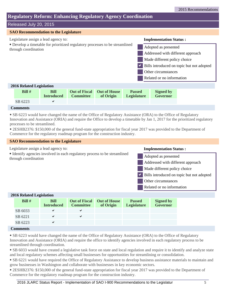### Released July 20, 2015

### **SAO Recommendation to the Legislature**

Legislature assign a lead agency to:

⦁ Develop a timetable for prioritized regulatory processes to be streamlined through coordination

#### **Implementation Status :**



### **2016 Related Legislation**

|         | <b>A A A A Executed Executed Executed Executed Executed EXECUTED EXECUTED</b> |                  |                                                |                                     |                              |  |  |  |  |  |
|---------|-------------------------------------------------------------------------------|------------------|------------------------------------------------|-------------------------------------|------------------------------|--|--|--|--|--|
| Bill #  | <b>Bill</b><br><b>Introduced</b>                                              | <b>Committee</b> | <b>Out of Fiscal Out of House</b><br>of Origin | <b>Passed</b><br><b>Legislature</b> | <b>Signed by</b><br>Governor |  |  |  |  |  |
| SB 6223 |                                                                               |                  |                                                |                                     |                              |  |  |  |  |  |

### **Comments**

⦁ SB 6223 would have changed the name of the Office of Regulatory Assistance (ORA) to the Office of Regulatory Innovation and Assistance (ORIA) and require the Office to develop a timetable by Jan 1, 2017 for the prioritized regulatory processes to be streamlined.

⦁ 2ESHB2376: \$150,000 of the general fund-state appropriation for fiscal year 2017 was provided to the Department of Commerce for the regulatory roadmap program for the construction industry.

#### Legislature assign a lead agency to: ⦁ Identify agencies involved in each regulatory process to be streamlined through coordination **SAO Recommendation to the Legislature** Related or no information Other circumstances Bills introduced on topic but not adopted Made different policy choice Addressed with different approach Adopted as presented  $\overline{\blacktriangledown}$ **Implementation Status : 2016 Related Legislation**

| 2016 Related Legislation    |                                  |                  |                                                |                                     |                              |
|-----------------------------|----------------------------------|------------------|------------------------------------------------|-------------------------------------|------------------------------|
| Bill $#$                    | <b>Bill</b><br><b>Introduced</b> | <b>Committee</b> | <b>Out of Fiscal Out of House</b><br>of Origin | <b>Passed</b><br><b>Legislature</b> | <b>Signed by</b><br>Governor |
| SB 6033                     | $\checkmark$                     | ✔                |                                                |                                     |                              |
| SB 6221                     | $\checkmark$                     | $\checkmark$     |                                                |                                     |                              |
| SB 6223                     | $\checkmark$                     |                  |                                                |                                     |                              |
| $\Gamma$ <sub>ommonta</sub> |                                  |                  |                                                |                                     |                              |

#### **Comments**

⦁ SB 6223 would have changed the name of the Office of Regulatory Assistance (ORA) to the Office of Regulatory Innovation and Assistance (ORIA) and require the office to identify agencies involved in each regulatory process to be streamlined through coordination.

⦁ SB 6033 would have created a legislative task force on state and local regulation and require it to identify and analyze state and local regulatory schemes affecting small businesses for opportunities for streamlining or consolidation.

⦁ SB 6221 would have required the Office of Regulatory Assistance to develop business assistance materials to maintain and grow businesses in Washington and collaborate with businesses in key economic sectors.

⦁ 2ESHB2376: \$150,000 of the general fund-state appropriation for fiscal year 2017 was provided to the Department of Commerce for the regulatory roadmap program for the construction industry.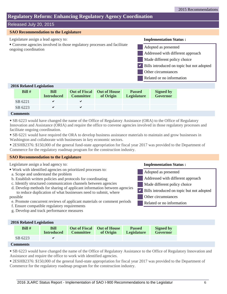### Released July 20, 2015

#### **SAO Recommendation to the Legislature**

Legislature assign a lead agency to:

⦁ Convene agencies involved in those regulatory processes and facilitate ongoing coordination

#### **Implementation Status :**



#### **2016 Related Legislation**

| <b>A A A A Executed Executed P</b> |                                  |                  |                                                |                              |                              |  |  |  |  |  |
|------------------------------------|----------------------------------|------------------|------------------------------------------------|------------------------------|------------------------------|--|--|--|--|--|
| $Bill #$                           | <b>Bill</b><br><b>Introduced</b> | <b>Committee</b> | <b>Out of Fiscal Out of House</b><br>of Origin | <b>Passed</b><br>Legislature | <b>Signed by</b><br>Governor |  |  |  |  |  |
| SB 6221                            |                                  |                  |                                                |                              |                              |  |  |  |  |  |
| SB 6223                            |                                  |                  |                                                |                              |                              |  |  |  |  |  |

### **Comments**

⦁ SB 6223 would have changed the name of the Office of Regulatory Assistance (ORA) to the Office of Regulatory Innovation and Assistance (ORIA) and require the office to convene agencies involved in those regulatory processes and facilitate ongoing coordination.

⦁ SB 6221 would have required the ORA to develop business assistance materials to maintain and grow businesses in Washington and collaborate with businesses in key economic sectors.

⦁ 2ESHB2376: \$150,000 of the general fund-state appropriation for fiscal year 2017 was provided to the Department of Commerce for the regulatory roadmap program for the construction industry.

#### **SAO Recommendation to the Legislature**

Legislature assign a lead agency to:

- ⦁ Work with identified agencies on prioritized processes to:
- a. Scope and understand the problem
- b. Establish written policies and protocols for coordinating
- c. Identify structured communication channels between agencies
- d. Develop methods for sharing of applicant information between agencies to reduce duplication of what businesses need to submit, where possible
- e. Promote concurrent reviews of applicant materials or comment periods
- f. Ensure compatible regulatory requirements
- g. Develop and track performance measures

#### **Implementation Status :**

- Adopted as presented
- Addressed with different approach
- Made different policy choice
- Bills introduced on topic but not adopted  $\overline{\blacktriangledown}$ 
	- Other circumstances
		- Related or no information

| 2016 Related Legislation |                                  |                  |                                                |                              |                              |  |  |  |  |
|--------------------------|----------------------------------|------------------|------------------------------------------------|------------------------------|------------------------------|--|--|--|--|
| $Bill \#$                | <b>Bill</b><br><b>Introduced</b> | <b>Committee</b> | <b>Out of Fiscal Out of House</b><br>of Origin | <b>Passed</b><br>Legislature | <b>Signed by</b><br>Governor |  |  |  |  |
| SB 6223                  | $\checkmark$                     |                  |                                                |                              |                              |  |  |  |  |
| <b>Comments</b>          |                                  |                  |                                                |                              |                              |  |  |  |  |

⦁ SB 6223 would have changed the name of the Office of Regulatory Assistance to the Office of Regulatory Innovation and Assistance and require the office to work with identified agencies.

⦁ 2ESHB2376: \$150,000 of the general fund-state appropriation for fiscal year 2017 was provided to the Department of Commerce for the regulatory roadmap program for the construction industry.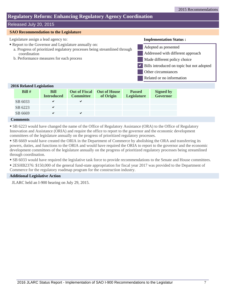### Released July 20, 2015

### **SAO Recommendation to the Legislature**

Legislature assign a lead agency to:

- ⦁ Report to the Governor and Legislature annually on:
	- a. Progress of prioritized regulatory processes being streamlined through coordination
	- b. Performance measures for each process

#### **Implementation Status :**

- Adopted as presented
- Addressed with different approach
- Made different policy choice
- Bills introduced on topic but not adopted a

Other circumstances

Related or no information

#### **2016 Related Legislation**

| <b>A A A A Executed Executed Executed Executed Executed EXECUTED EXECUTED</b> |                                  |                  |                                                |                              |                              |
|-------------------------------------------------------------------------------|----------------------------------|------------------|------------------------------------------------|------------------------------|------------------------------|
| $Bill #$                                                                      | <b>Bill</b><br><b>Introduced</b> | <b>Committee</b> | <b>Out of Fiscal Out of House</b><br>of Origin | <b>Passed</b><br>Legislature | <b>Signed by</b><br>Governor |
| SB 6033                                                                       |                                  | $\checkmark$     |                                                |                              |                              |
| SB 6223                                                                       |                                  |                  |                                                |                              |                              |
| SB 6669                                                                       | ✔                                | $\checkmark$     |                                                |                              |                              |
|                                                                               |                                  |                  |                                                |                              |                              |

### **Comments**

⦁ SB 6223 would have changed the name of the Office of Regulatory Assistance (ORA) to the Office of Regulatory Innovation and Assistance (ORIA) and require the office to report to the governor and the economic development committees of the legislature annually on the progress of prioritized regulatory processes.

⦁ SB 6669 would have created the ORIA in the Department of Commerce by abolishing the ORA and transferring its powers, duties, and functions to the ORIA and would have required the ORIA to report to the governor and the economic development committees of the legislature annually on the progress of prioritized regulatory processes being streamlined through coordination.

- ⦁ SB 6033 would have required the legislative task force to provide recommendations to the Senate and House committees.
- ⦁ 2ESHB2376: \$150,000 of the general fund-state appropriation for fiscal year 2017 was provided to the Department of Commerce for the regulatory roadmap program for the construction industry.

#### **Additional Legislative Action**

JLARC held an I-900 hearing on July 29, 2015.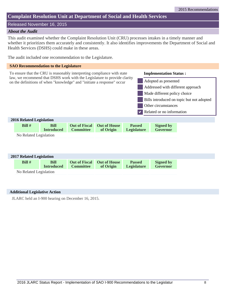### **Complaint Resolution Unit at Department of Social and Health Services**

### Released November 16, 2015

#### *About the Audit*

This audit examined whether the Complaint Resolution Unit (CRU) processes intakes in a timely manner and whether it prioritizes them accurately and consistently. It also identifies improvements the Department of Social and Health Services (DSHS) could make in these areas.

The audit included one recommendation to the Legislature.

### **SAO Recommendation to the Legislature**



| 2017 Related Legislation |                   |           |                                   |                    |                  |  |  |  |  |
|--------------------------|-------------------|-----------|-----------------------------------|--------------------|------------------|--|--|--|--|
| Bill#                    | <b>Bill</b>       |           | <b>Out of Fiscal Out of House</b> | <b>Passed</b>      | <b>Signed by</b> |  |  |  |  |
|                          | <b>Introduced</b> | Committee | of Origin                         | <b>Legislature</b> | Governor         |  |  |  |  |
| No Related Legislation   |                   |           |                                   |                    |                  |  |  |  |  |

### **Additional Legislative Action**

JLARC held an I-900 hearing on December 16, 2015.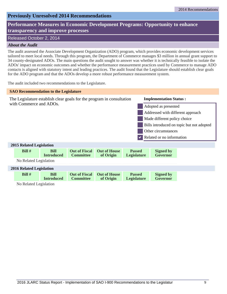### **Previously Unresolved 2014 Recommendations**

### **Performance Measures in Economic Development Programs: Opportunity to enhance transparency and improve processes**

### Released October 2, 2014

### *About the Audit*

The audit assessed the Associate Development Organization (ADO) program, which provides economic development services tailored to meet local needs. Through this program, the Department of Commerce manages \$3 million in annual grant support to 34 county-designated ADOs. The main questions the audit sought to answer was whether it is technically feasible to isolate the ADOs' impact on economic outcomes and whether the performance measurement practices used by Commerce to manage ADO contacts is aligned with statutory intent and leading practices. The audit found that the Legislature should establish clear goals for the ADO program and that the ADOs develop a more robust performance measurement system.

The audit included two recommendations to the Legislature.

|                                                 |                                           | <b>SAO Recommendation to the Legislature</b> |                                          |                                                                       |                                     |                               |  |  |  |
|-------------------------------------------------|-------------------------------------------|----------------------------------------------|------------------------------------------|-----------------------------------------------------------------------|-------------------------------------|-------------------------------|--|--|--|
|                                                 |                                           |                                              |                                          | The Legislature establish clear goals for the program in consultation |                                     | <b>Implementation Status:</b> |  |  |  |
| with Commerce and ADOs.<br>Adopted as presented |                                           |                                              |                                          |                                                                       |                                     |                               |  |  |  |
| Addressed with different approach               |                                           |                                              |                                          |                                                                       |                                     |                               |  |  |  |
|                                                 |                                           |                                              |                                          |                                                                       |                                     | Made different policy choice  |  |  |  |
|                                                 | Bills introduced on topic but not adopted |                                              |                                          |                                                                       |                                     |                               |  |  |  |
|                                                 | Other circumstances                       |                                              |                                          |                                                                       |                                     |                               |  |  |  |
|                                                 |                                           |                                              |                                          |                                                                       |                                     | Related or no information     |  |  |  |
|                                                 | 2015 Related Legislation                  |                                              |                                          |                                                                       |                                     |                               |  |  |  |
|                                                 | Bill $#$                                  | <b>Bill</b><br><b>Introduced</b>             | <b>Out of Fiscal</b><br><b>Committee</b> | <b>Out of House</b><br>of Origin                                      | <b>Passed</b><br><b>Legislature</b> | <b>Signed by</b><br>Governor  |  |  |  |
|                                                 | No Related Legislation                    |                                              |                                          |                                                                       |                                     |                               |  |  |  |
|                                                 | <b>2016 Related Legislation</b>           |                                              |                                          |                                                                       |                                     |                               |  |  |  |
|                                                 | Bill#                                     | <b>Bill</b><br><b>Introduced</b>             | <b>Out of Fiscal</b><br><b>Committee</b> | <b>Out of House</b><br>of Origin                                      | <b>Passed</b><br><b>Legislature</b> | <b>Signed by</b><br>Governor  |  |  |  |
| No Related Legislation                          |                                           |                                              |                                          |                                                                       |                                     |                               |  |  |  |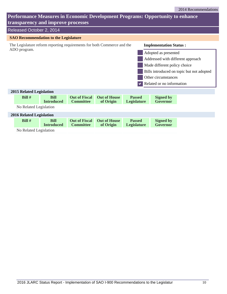|                                                                                                          | Performance Measures in Economic Development Programs: Opportunity to enhance<br>transparency and improve processes |                                  |                                          |                                  |                                     |                                   |                                           |  |  |  |
|----------------------------------------------------------------------------------------------------------|---------------------------------------------------------------------------------------------------------------------|----------------------------------|------------------------------------------|----------------------------------|-------------------------------------|-----------------------------------|-------------------------------------------|--|--|--|
|                                                                                                          | Released October 2, 2014                                                                                            |                                  |                                          |                                  |                                     |                                   |                                           |  |  |  |
|                                                                                                          | <b>SAO Recommendation to the Legislature</b>                                                                        |                                  |                                          |                                  |                                     |                                   |                                           |  |  |  |
| The Legislature reform reporting requirements for both Commerce and the<br><b>Implementation Status:</b> |                                                                                                                     |                                  |                                          |                                  |                                     |                                   |                                           |  |  |  |
|                                                                                                          | ADO program.                                                                                                        |                                  |                                          |                                  |                                     | Adopted as presented              |                                           |  |  |  |
|                                                                                                          |                                                                                                                     |                                  |                                          |                                  |                                     | Addressed with different approach |                                           |  |  |  |
|                                                                                                          |                                                                                                                     |                                  |                                          |                                  |                                     | Made different policy choice      |                                           |  |  |  |
|                                                                                                          |                                                                                                                     |                                  |                                          |                                  |                                     |                                   | Bills introduced on topic but not adopted |  |  |  |
|                                                                                                          |                                                                                                                     |                                  |                                          |                                  |                                     | Other circumstances               |                                           |  |  |  |
|                                                                                                          |                                                                                                                     |                                  |                                          |                                  |                                     | Related or no information         |                                           |  |  |  |
|                                                                                                          | <b>2015 Related Legislation</b>                                                                                     |                                  |                                          |                                  |                                     |                                   |                                           |  |  |  |
|                                                                                                          | Bill#                                                                                                               | <b>Bill</b><br><b>Introduced</b> | <b>Out of Fiscal</b><br><b>Committee</b> | <b>Out of House</b><br>of Origin | <b>Passed</b><br><b>Legislature</b> | <b>Signed by</b><br>Governor      |                                           |  |  |  |
|                                                                                                          | No Related Legislation                                                                                              |                                  |                                          |                                  |                                     |                                   |                                           |  |  |  |
|                                                                                                          | <b>2016 Related Legislation</b>                                                                                     |                                  |                                          |                                  |                                     |                                   |                                           |  |  |  |
|                                                                                                          | Bill #                                                                                                              | <b>Bill</b><br><b>Introduced</b> | <b>Out of Fiscal</b><br><b>Committee</b> | <b>Out of House</b><br>of Origin | <b>Passed</b><br>Legislature        | <b>Signed by</b><br>Governor      |                                           |  |  |  |
| No Related Legislation                                                                                   |                                                                                                                     |                                  |                                          |                                  |                                     |                                   |                                           |  |  |  |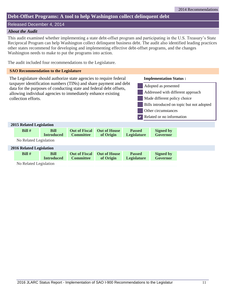### **Debt-Offset Programs: A tool to help Washington collect delinquent debt**

### Released December 4, 2014

### *About the Audit*

This audit examined whether implementing a state debt-offset program and participating in the U.S. Treasury's State Reciprocal Program can help Washington collect delinquent business debt. The audit also identified leading practices other states recommend for developing and implementing effective debt-offset programs, and the changes Washington needs to make to put the programs into action.

The audit included four recommendations to the Legislature.

### **SAO Recommendation to the Legislature**

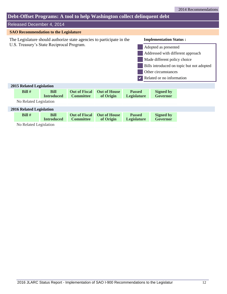### **Debt-Offset Programs: A tool to help Washington collect delinquent debt** Released December 4, 2014 The Legislature should authorize state agencies to participate in the U.S. Treasury's State Reciprocal Program. **SAO Recommendation to the Legislature** Related or no information Other circumstances Bills introduced on topic but not adopted Made different policy choice Addressed with different approach Adopted as presented a **Implementation Status : Bill** # **Bill Bill Out of Fiscal Out of House Passed Signed by Introduced Committee Containe Containe Containe Containe Containe Containe Containe Containe Containe Containe Containe 2015 Related Legislation Integrals Covernor** No Related Legislation **Bill** # **Bill Bill Out of Fiscal Out of House Passed Signed by Introduced Committee Covernor 2016 Related Legislation Legislature** No Related Legislation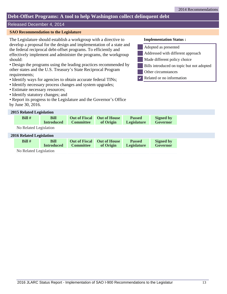### **Debt-Offset Programs: A tool to help Washington collect delinquent debt**

### Released December 4, 2014

### **SAO Recommendation to the Legislature**

The Legislature should establish a workgroup with a directive to develop a proposal for the design and implementation of a state and the federal reciprocal debt-offset programs. To efficiently and effectively implement and administer the programs, the workgroup should:

• Design the programs using the leading practices recommended by other states and the U.S. Treasury's State Reciprocal Program requirements;

- Identify ways for agencies to obtain accurate federal TINs;
- Identify necessary process changes and system upgrades;
- Estimate necessary resources;
- Identify statutory changes; and

• Report its progress to the Legislature and the Governor's Office by June 30, 2016.

#### **2015 Related Legislation**

### **Implementation Status :**

- Adopted as presented
- Addressed with different approach
- Made different policy choice
- Bills introduced on topic but not adopted
- Other circumstances
- Related or no information a

|                                 | 2015 Related Legislation |                                  |                                          |                                  |                                     |                              |  |  |
|---------------------------------|--------------------------|----------------------------------|------------------------------------------|----------------------------------|-------------------------------------|------------------------------|--|--|
|                                 | $Bill \#$                | <b>Bill</b><br><b>Introduced</b> | <b>Out of Fiscal</b><br><b>Committee</b> | <b>Out of House</b><br>of Origin | <b>Passed</b><br><b>Legislature</b> | <b>Signed by</b><br>Governor |  |  |
|                                 | No Related Legislation   |                                  |                                          |                                  |                                     |                              |  |  |
| <b>2016 Related Legislation</b> |                          |                                  |                                          |                                  |                                     |                              |  |  |
|                                 | Bill#                    | <b>Bill</b><br><b>Introduced</b> | <b>Out of Fiscal</b><br><b>Committee</b> | <b>Out of House</b><br>of Origin | <b>Passed</b><br>Legislature        | <b>Signed by</b><br>Governor |  |  |
|                                 | No Related Legislation   |                                  |                                          |                                  |                                     |                              |  |  |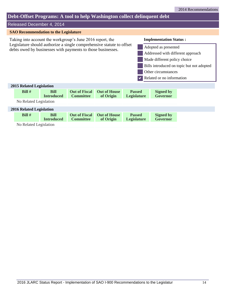### **Debt-Offset Programs: A tool to help Washington collect delinquent debt**

### Released December 4, 2014

### **SAO Recommendation to the Legislature**

Taking into account the workgroup's June 2016 report, the Legislature should authorize a single comprehensive statute to offset debts owed by businesses with payments to those businesses.

### **Implementation Status :**



| <b>2015 Related Legislation</b> |                                  |                                          |                                  |                              |                              |  |
|---------------------------------|----------------------------------|------------------------------------------|----------------------------------|------------------------------|------------------------------|--|
| Bill#                           | <b>Bill</b><br><b>Introduced</b> | <b>Out of Fiscal</b><br><b>Committee</b> | <b>Out of House</b><br>of Origin | <b>Passed</b><br>Legislature | <b>Signed by</b><br>Governor |  |
| No Related Legislation          |                                  |                                          |                                  |                              |                              |  |
| <b>2016 Related Legislation</b> |                                  |                                          |                                  |                              |                              |  |
| Bill#                           | <b>Bill</b><br><b>Introduced</b> | <b>Out of Fiscal</b><br><b>Committee</b> | <b>Out of House</b><br>of Origin | <b>Passed</b><br>Legislature | <b>Signed by</b><br>Governor |  |
| No Related Legislation          |                                  |                                          |                                  |                              |                              |  |

No Related Legislation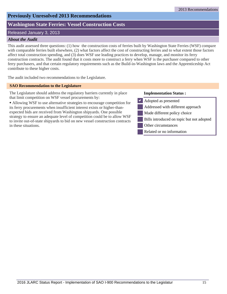### **Previously Unresolved 2013 Recommendations**

### **Washington State Ferries: Vessel Construction Costs**

### Released January 3, 2013

### *About the Audit*

This audit assessed three questions: (1) how the construction costs of ferries built by Washington State Ferries (WSF) compare with comparable ferries built elsewhere, (2) what factors affect the cost of constructing ferries and to what extent those factors affect total construction spending, and (3) does WSF use leading practices to develop, manage, and monitor its ferry construction contracts. The audit found that it costs more to construct a ferry when WSF is the purchaser compared to other ferry purchasers, and that certain regulatory requirements such as the Build-in-Washington laws and the Apprenticeship Act contribute to these higher costs.

The audit included two recommendations to the Legislature.

#### **SAO Recommendation to the Legislature**

The Legislature should address the regulatory barriers currently in place that limit competition on WSF vessel procurements by:

⦁ Allowing WSF to use alternative strategies to encourage competition for its ferry procurements when insufficient interest exists or higher-thanexpected bids are received from Washington shipyards. One possible strategy to ensure an adequate level of competition could be to allow WSF to invite out-of-state shipyards to bid on new vessel construction contracts in these situations.



- $\vee$  Adopted as presented
	- Addressed with different approach
	- Made different policy choice
	- Bills introduced on topic but not adopted
	- Other circumstances
	- Related or no information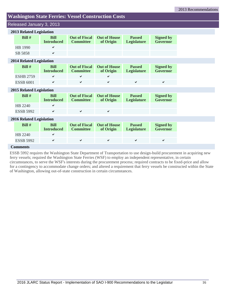### **Washington State Ferries: Vessel Construction Costs**

### Released January 3, 2013

|                                 | 2013 Related Legislation |                           |                                          |                                  |                              |                              |  |
|---------------------------------|--------------------------|---------------------------|------------------------------------------|----------------------------------|------------------------------|------------------------------|--|
|                                 | Bill $#$                 | Bill<br><b>Introduced</b> | <b>Out of Fiscal</b><br><b>Committee</b> | <b>Out of House</b><br>of Origin | <b>Passed</b><br>Legislature | <b>Signed by</b><br>Governor |  |
|                                 | HB 1990                  | ✔                         |                                          |                                  |                              |                              |  |
|                                 | SB 5858                  | ✔                         |                                          |                                  |                              |                              |  |
| <b>2014 Related Legislation</b> |                          |                           |                                          |                                  |                              |                              |  |
|                                 | $D:II$ #                 | DMI                       | $\Omega_{\rm tot}$ of Eigenball          | $0 \cdot 4$ of Hange             | Doggod                       | $C_{cond}$                   |  |

| $Bill \#$        | <b>Bill</b><br><b>Introduced</b> | <b>Committee</b> | Out of Fiscal Out of House<br>of Origin | <b>Passed</b><br>Legislature | <b>Signed by</b><br>Governor |
|------------------|----------------------------------|------------------|-----------------------------------------|------------------------------|------------------------------|
| <b>ESHB 2759</b> |                                  |                  |                                         |                              |                              |
| <b>ESSB 6001</b> |                                  |                  |                                         |                              |                              |

### **2015 Related Legislation**

| Bill $#$         | Bill<br><b>Introduced</b> | <b>Committee</b> | <b>Out of Fiscal Out of House</b><br>of Origin | <b>Passed</b><br>Legislature | <b>Signed by</b><br>Governor |
|------------------|---------------------------|------------------|------------------------------------------------|------------------------------|------------------------------|
| HB 2240          |                           |                  |                                                |                              |                              |
| <b>ESSB 5992</b> |                           |                  |                                                |                              |                              |

### **2016 Related Legislation**

| $Bill #$         | <b>Bill</b><br><b>Introduced</b> | <b>Committee</b> | <b>Out of Fiscal Out of House</b><br>of Origin | <b>Passed</b><br>Legislature | <b>Signed by</b><br>Governor |
|------------------|----------------------------------|------------------|------------------------------------------------|------------------------------|------------------------------|
| HB 2240          |                                  |                  |                                                |                              |                              |
| <b>ESSB 5992</b> |                                  |                  |                                                |                              |                              |

### **Comments**

ESSB 5992 requires the Washington State Department of Transportation to use design-build procurement in acquiring new ferry vessels; required the Washington State Ferries (WSF) to employ an independent representative, in certain circumstances, to serve the WSF's interests during the procurement process; required contracts to be fixed-price and allow for a contingency to accommodate change orders; and altered a requirement that ferry vessels be constructed within the State of Washington, allowing out-of-state construction in certain circumstances.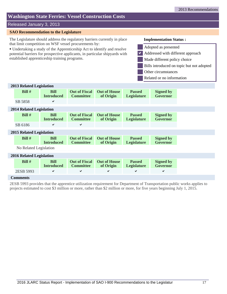### **Washington State Ferries: Vessel Construction Costs**

### Released January 3, 2013

#### **SAO Recommendation to the Legislature**

The Legislature should address the regulatory barriers currently in place that limit competition on WSF vessel procurements by:

⦁ Undertaking a study of the Apprenticeship Act to identify and resolve potential barriers for prospective applicants, in particular shipyards with established apprenticeship training programs.

### **Implementation Status :**



- Addressed with different approach  $\blacktriangledown$ 
	- Made different policy choice

Bills introduced on topic but not adopted

Other circumstances

Related or no information

| <b>2013 Related Legislation</b> |                                  |                                          |                                  |                                     |                              |
|---------------------------------|----------------------------------|------------------------------------------|----------------------------------|-------------------------------------|------------------------------|
| Bill $#$                        | <b>Bill</b><br><b>Introduced</b> | <b>Out of Fiscal</b><br><b>Committee</b> | <b>Out of House</b><br>of Origin | <b>Passed</b><br>Legislature        | <b>Signed by</b><br>Governor |
| SB 5858                         | ✔                                |                                          |                                  |                                     |                              |
| <b>2014 Related Legislation</b> |                                  |                                          |                                  |                                     |                              |
| Bill $#$                        | <b>Bill</b><br><b>Introduced</b> | <b>Out of Fiscal</b><br><b>Committee</b> | <b>Out of House</b><br>of Origin | <b>Passed</b><br><b>Legislature</b> | <b>Signed by</b><br>Governor |
| SB 6186                         | ✔                                | ✔                                        |                                  |                                     |                              |
| 2015 Related Legislation        |                                  |                                          |                                  |                                     |                              |
| Bill#                           | <b>Bill</b><br><b>Introduced</b> | <b>Out of Fiscal</b><br><b>Committee</b> | <b>Out of House</b><br>of Origin | <b>Passed</b><br><b>Legislature</b> | <b>Signed by</b><br>Governor |
| No Related Legislation          |                                  |                                          |                                  |                                     |                              |
| <b>2016 Related Legislation</b> |                                  |                                          |                                  |                                     |                              |
| Bill#                           | <b>Bill</b><br><b>Introduced</b> | <b>Out of Fiscal</b><br><b>Committee</b> | <b>Out of House</b><br>of Origin | <b>Passed</b><br><b>Legislature</b> | <b>Signed by</b><br>Governor |
| 2ESB 5993                       | ✔                                | ✔                                        | ✔                                | $\checkmark$                        | ✔                            |
| <b>Comments</b>                 |                                  |                                          |                                  |                                     |                              |
|                                 |                                  |                                          |                                  |                                     |                              |

2ESB 5993 provides that the apprentice utilization requirement for Department of Transportation public works applies to projects estimated to cost \$3 million or more, rather than \$2 million or more, for five years beginning July 1, 2015.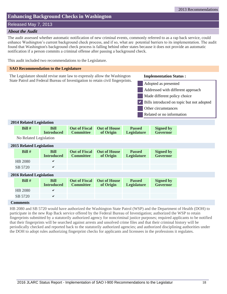### **Enhancing Background Checks in Washington**

### Released May 7, 2013

#### *About the Audit*

The audit assessed whether automatic notification of new criminal events, commonly referred to as a rap back service, could enhance Washington's current background check process, and if so, what are potential barriers to its implementation. The audit found that Washington's background check process is falling behind other states because it does not provide an automatic notification if a person commits a criminal offense after passing a background check.

This audit included two recommendations to the Legislature.

### The Legislature should revise state law to expressly allow the Washington State Patrol and Federal Bureau of Investigation to retain civil fingerprints. **SAO Recommendation to the Legislature** Related or no information Other circumstances Bills introduced on topic but not adopted Made different policy choice Addressed with different approach Adopted as presented  $\overline{\blacktriangledown}$ **Implementation Status : Bill # Bill Out of Fiscal Out of House Passed Signed by 2014 Related Legislation Legislature** No Related Legislation **Bill # Bill Out of Fiscal Out of House Passed Signed by 2015 Related Legislation Legislature** HB 2080  $\bullet$ SB 5720  $\vee$ **Bill # Bill Out of Fiscal Out of House Passed Signed by 2016 Related Legislation Legislature** HB 2080  $\sim$ SB 5720  $\vee$

### **Comments**

HB 2080 and SB 5720 would have authorized the Washington State Patrol (WSP) and the Department of Health (DOH) to participate in the new Rap Back service offered by the Federal Bureau of Investigation; authorized the WSP to retain fingerprints submitted by a statutorily authorized agency for noncriminal justice purposes; required applicants to be notified that their fingerprints will be searched against arrests and unsolved crime files and that their criminal history will be periodically checked and reported back to the statutorily authorized agencies; and authorized disciplining authorities under the DOH to adopt rules authorizing fingerprint checks for applicants and licensees in the professions it regulates.